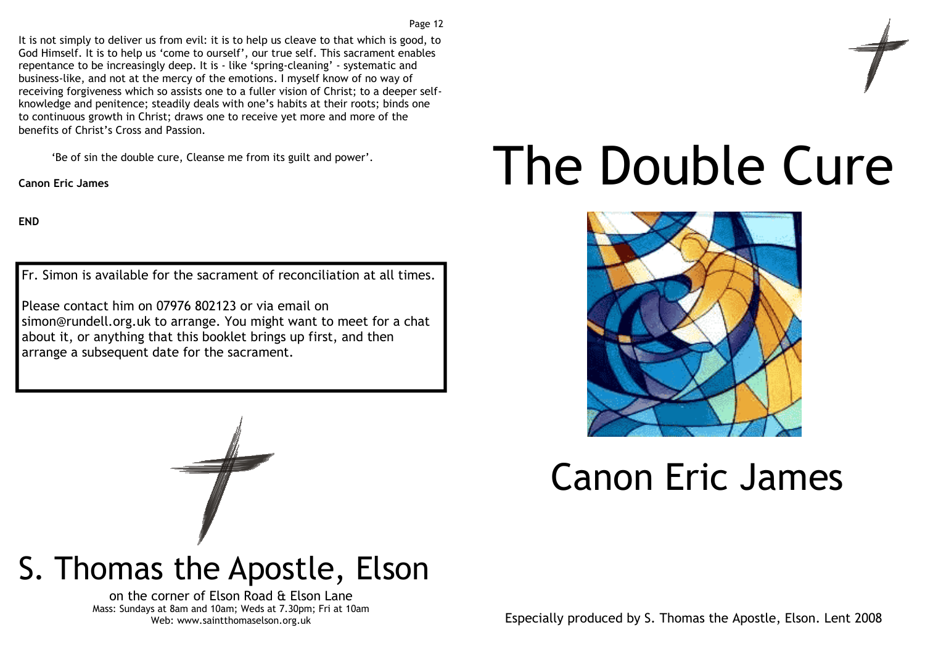It is not simply to deliver us from evil: it is to help us cleave to that which is good, to God Himself. It is to help us 'come to ourself', our true self. This sacrament enables repentance to be increasingly deep. It is - like 'spring-cleaning' - systematic and business-like, and not at the mercy of the emotions. I myself know of no way of receiving forgiveness which so assists one to a fuller vision of Christ; to a deeper selfknowledge and penitence; steadily deals with one's habits at their roots; binds one to continuous growth in Christ; draws one to receive yet more and more of the benefits of Christ's Cross and Passion.

'Be of sin the double cure, Cleanse me from its guilt and power'.

Canon Eric James

END

Fr. Simon is available for the sacrament of reconciliation at all times.

Please contact him on 07976 802123 or via email on simon@rundell.org.uk to arrange. You might want to meet for a chat about it, or anything that this booklet brings up first, and then arrange a subsequent date for the sacrament.

# The Double Cure



# Canon Eric James



on the corner of Elson Road & Elson Lane Mass: Sundays at 8am and 10am; Weds at 7.30pm; Fri at 10am Web: www.saintthomaselson.org.uk

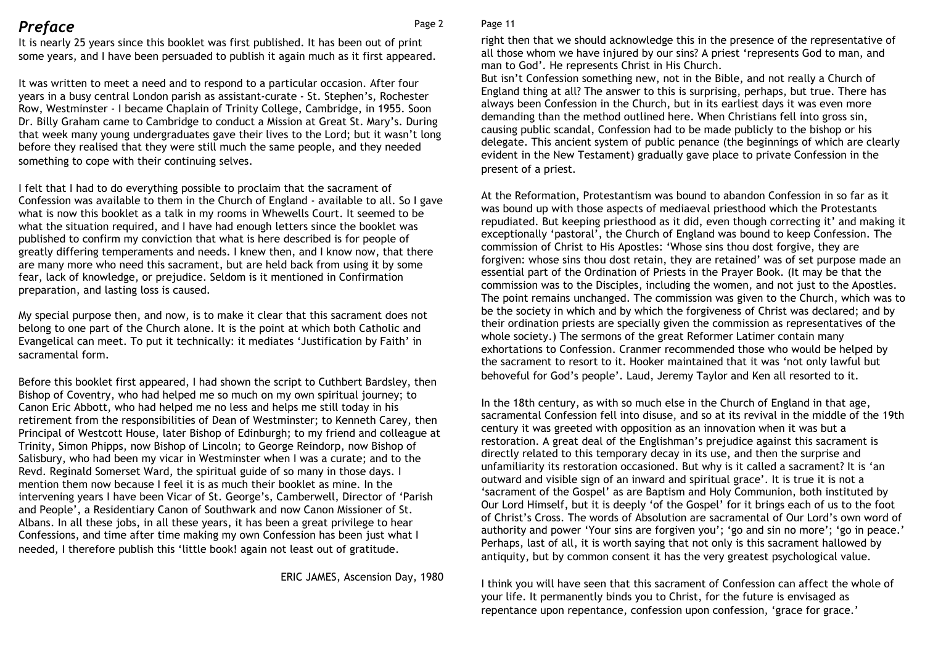### **Preface** Page 2

Page 11

 It is nearly 25 years since this booklet was first published. It has been out of print some years, and I have been persuaded to publish it again much as it first appeared.

It was written to meet a need and to respond to a particular occasion. After four years in a busy central London parish as assistant-curate - St. Stephen's, Rochester Row, Westminster - I became Chaplain of Trinity College, Cambridge, in 1955. Soon Dr. Billy Graham came to Cambridge to conduct a Mission at Great St. Mary's. During that week many young undergraduates gave their lives to the Lord; but it wasn't long before they realised that they were still much the same people, and they needed something to cope with their continuing selves.

I felt that I had to do everything possible to proclaim that the sacrament of Confession was available to them in the Church of England - available to all. So I gave what is now this booklet as a talk in my rooms in Whewells Court. It seemed to be what the situation required, and I have had enough letters since the booklet was published to confirm my conviction that what is here described is for people of greatly differing temperaments and needs. I knew then, and I know now, that there are many more who need this sacrament, but are held back from using it by some fear, lack of knowledge, or prejudice. Seldom is it mentioned in Confirmation preparation, and lasting loss is caused.

My special purpose then, and now, is to make it clear that this sacrament does not belong to one part of the Church alone. It is the point at which both Catholic and Evangelical can meet. To put it technically: it mediates 'Justification by Faith' in sacramental form.

Before this booklet first appeared, I had shown the script to Cuthbert Bardsley, then Bishop of Coventry, who had helped me so much on my own spiritual journey; to Canon Eric Abbott, who had helped me no less and helps me still today in his retirement from the responsibilities of Dean of Westminster; to Kenneth Carey, then Principal of Westcott House, later Bishop of Edinburgh; to my friend and colleague at Trinity, Simon Phipps, now Bishop of Lincoln; to George Reindorp, now Bishop of Salisbury, who had been my vicar in Westminster when I was a curate; and to the Revd. Reginald Somerset Ward, the spiritual guide of so many in those days. I mention them now because I feel it is as much their booklet as mine. In the intervening years I have been Vicar of St. George's, Camberwell, Director of 'Parish and People', a Residentiary Canon of Southwark and now Canon Missioner of St. Albans. In all these jobs, in all these years, it has been a great privilege to hear Confessions, and time after time making my own Confession has been just what I needed, I therefore publish this 'little book! again not least out of gratitude.

ERIC JAMES, Ascension Day, 1980

right then that we should acknowledge this in the presence of the representative of all those whom we have injured by our sins? A priest 'represents God to man, and man to God'. He represents Christ in His Church.

 But isn't Confession something new, not in the Bible, and not really a Church of England thing at all? The answer to this is surprising, perhaps, but true. There has always been Confession in the Church, but in its earliest days it was even more demanding than the method outlined here. When Christians fell into gross sin, causing public scandal, Confession had to be made publicly to the bishop or his delegate. This ancient system of public penance (the beginnings of which are clearly evident in the New Testament) gradually gave place to private Confession in the present of a priest.

At the Reformation, Protestantism was bound to abandon Confession in so far as it was bound up with those aspects of mediaeval priesthood which the Protestants repudiated. But keeping priesthood as it did, even though correcting it' and making it exceptionally 'pastoral', the Church of England was bound to keep Confession. The commission of Christ to His Apostles: 'Whose sins thou dost forgive, they are forgiven: whose sins thou dost retain, they are retained' was of set purpose made an essential part of the Ordination of Priests in the Prayer Book. (It may be that the commission was to the Disciples, including the women, and not just to the Apostles. The point remains unchanged. The commission was given to the Church, which was to be the society in which and by which the forgiveness of Christ was declared; and by their ordination priests are specially given the commission as representatives of the whole society.) The sermons of the great Reformer Latimer contain many exhortations to Confession. Cranmer recommended those who would be helped by the sacrament to resort to it. Hooker maintained that it was 'not only lawful but behoveful for God's people'. Laud, Jeremy Taylor and Ken all resorted to it.

In the 18th century, as with so much else in the Church of England in that age, sacramental Confession fell into disuse, and so at its revival in the middle of the 19th century it was greeted with opposition as an innovation when it was but a restoration. A great deal of the Englishman's prejudice against this sacrament is directly related to this temporary decay in its use, and then the surprise and unfamiliarity its restoration occasioned. But why is it called a sacrament? It is 'an outward and visible sign of an inward and spiritual grace'. It is true it is not a 'sacrament of the Gospel' as are Baptism and Holy Communion, both instituted by Our Lord Himself, but it is deeply 'of the Gospel' for it brings each of us to the foot of Christ's Cross. The words of Absolution are sacramental of Our Lord's own word of authority and power 'Your sins are forgiven you'; 'go and sin no more'; 'go in peace.' Perhaps, last of all, it is worth saying that not only is this sacrament hallowed by antiquity, but by common consent it has the very greatest psychological value.

I think you will have seen that this sacrament of Confession can affect the whole of your life. It permanently binds you to Christ, for the future is envisaged as repentance upon repentance, confession upon confession, 'grace for grace.'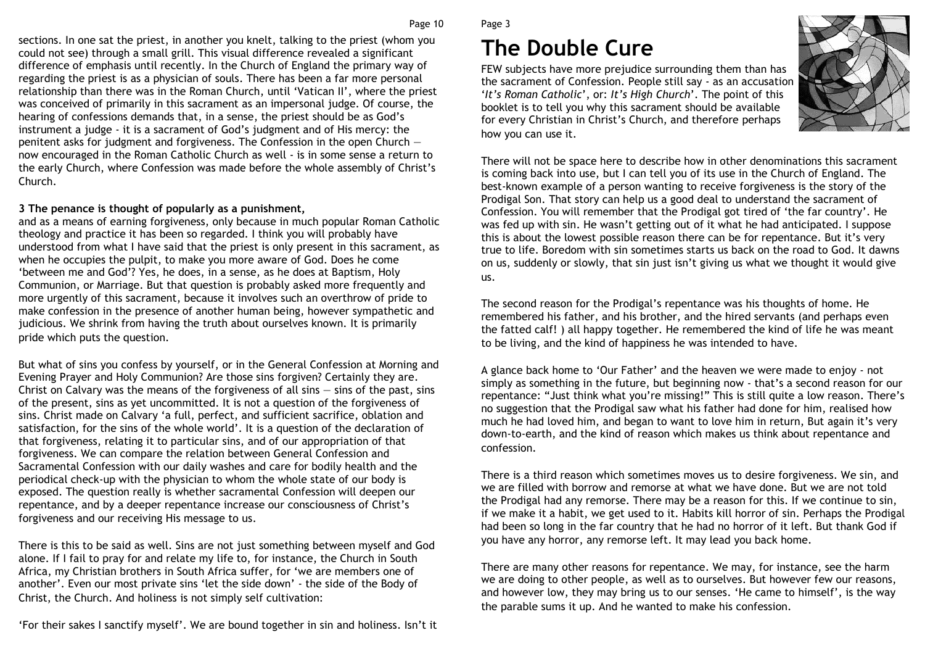#### Page 10

Page 3

# The Double Cure

FEW subjects have more prejudice surrounding them than has the sacrament of Confession. People still say - as an accusation 'It's Roman Catholic', or: It's High Church'. The point of this booklet is to tell you why this sacrament should be available for every Christian in Christ's Church, and therefore perhaps how you can use it.



There will not be space here to describe how in other denominations this sacrament is coming back into use, but I can tell you of its use in the Church of England. The best-known example of a person wanting to receive forgiveness is the story of the Prodigal Son. That story can help us a good deal to understand the sacrament of Confession. You will remember that the Prodigal got tired of 'the far country'. He was fed up with sin. He wasn't getting out of it what he had anticipated. I suppose this is about the lowest possible reason there can be for repentance. But it's very true to life. Boredom with sin sometimes starts us back on the road to God. It dawns on us, suddenly or slowly, that sin just isn't giving us what we thought it would give us.

The second reason for the Prodigal's repentance was his thoughts of home. He remembered his father, and his brother, and the hired servants (and perhaps even the fatted calf! ) all happy together. He remembered the kind of life he was meant to be living, and the kind of happiness he was intended to have.

A glance back home to 'Our Father' and the heaven we were made to enjoy - not simply as something in the future, but beginning now - that's a second reason for our repentance: "Just think what you're missing!" This is still quite a low reason. There's no suggestion that the Prodigal saw what his father had done for him, realised how much he had loved him, and began to want to love him in return, But again it's very down-to-earth, and the kind of reason which makes us think about repentance and confession.

There is a third reason which sometimes moves us to desire forgiveness. We sin, and we are filled with borrow and remorse at what we have done. But we are not told the Prodigal had any remorse. There may be a reason for this. If we continue to sin, if we make it a habit, we get used to it. Habits kill horror of sin. Perhaps the Prodigal had been so long in the far country that he had no horror of it left. But thank God if you have any horror, any remorse left. It may lead you back home.

There are many other reasons for repentance. We may, for instance, see the harm we are doing to other people, as well as to ourselves. But however few our reasons, and however low, they may bring us to our senses. 'He came to himself', is the way the parable sums it up. And he wanted to make his confession.

sections. In one sat the priest, in another you knelt, talking to the priest (whom you could not see) through a small grill. This visual difference revealed a significant difference of emphasis until recently. In the Church of England the primary way of regarding the priest is as a physician of souls. There has been a far more personal relationship than there was in the Roman Church, until 'Vatican II', where the priest was conceived of primarily in this sacrament as an impersonal judge. Of course, the hearing of confessions demands that, in a sense, the priest should be as God's instrument a judge - it is a sacrament of God's judgment and of His mercy: the penitent asks for judgment and forgiveness. The Confession in the open Church now encouraged in the Roman Catholic Church as well - is in some sense a return to the early Church, where Confession was made before the whole assembly of Christ's Church.

#### 3 The penance is thought of popularly as a punishment,

 and as a means of earning forgiveness, only because in much popular Roman Catholic theology and practice it has been so regarded. I think you will probably have understood from what I have said that the priest is only present in this sacrament, as when he occupies the pulpit, to make you more aware of God. Does he come 'between me and God'? Yes, he does, in a sense, as he does at Baptism, Holy Communion, or Marriage. But that question is probably asked more frequently and more urgently of this sacrament, because it involves such an overthrow of pride to make confession in the presence of another human being, however sympathetic and judicious. We shrink from having the truth about ourselves known. It is primarily pride which puts the question.

But what of sins you confess by yourself, or in the General Confession at Morning and Evening Prayer and Holy Communion? Are those sins forgiven? Certainly they are. Christ on Calvary was the means of the forgiveness of all sins — sins of the past, sins of the present, sins as yet uncommitted. It is not a question of the forgiveness of sins. Christ made on Calvary 'a full, perfect, and sufficient sacrifice, oblation and satisfaction, for the sins of the whole world'. It is a question of the declaration of that forgiveness, relating it to particular sins, and of our appropriation of that forgiveness. We can compare the relation between General Confession and Sacramental Confession with our daily washes and care for bodily health and the periodical check-up with the physician to whom the whole state of our body is exposed. The question really is whether sacramental Confession will deepen our repentance, and by a deeper repentance increase our consciousness of Christ's forgiveness and our receiving His message to us.

There is this to be said as well. Sins are not just something between myself and God alone. If I fail to pray for and relate my life to, for instance, the Church in South Africa, my Christian brothers in South Africa suffer, for 'we are members one of another'. Even our most private sins 'let the side down' - the side of the Body of Christ, the Church. And holiness is not simply self cultivation:

'For their sakes I sanctify myself'. We are bound together in sin and holiness. Isn't it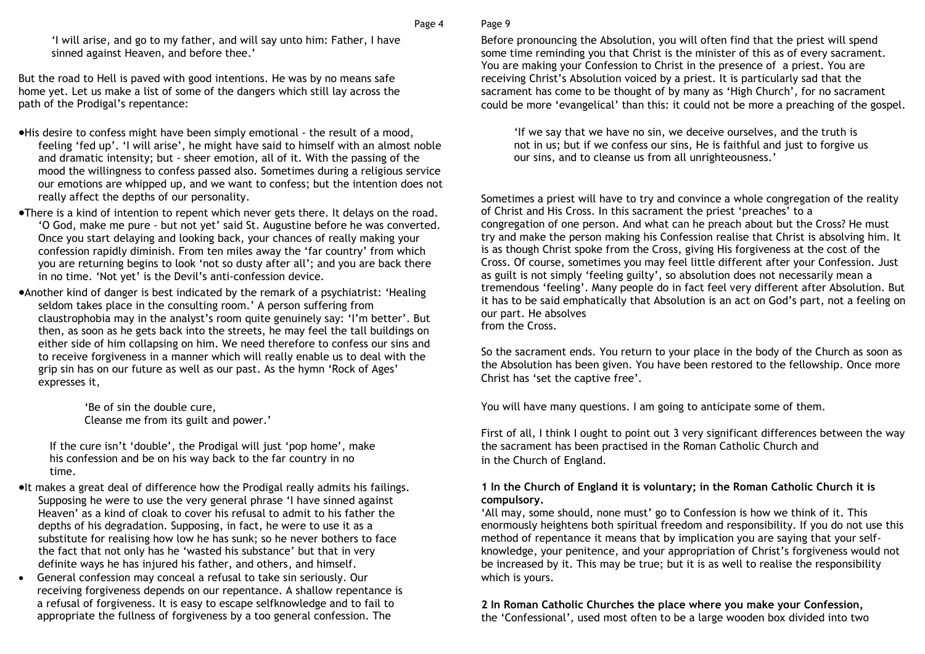Page 9

'I will arise, and go to my father, and will say unto him: Father, I have sinned against Heaven, and before thee.'

But the road to Hell is paved with good intentions. He was by no means safe home yet. Let us make a list of some of the dangers which still lay across the path of the Prodigal's repentance:

- •His desire to confess might have been simply emotional the result of a mood, feeling 'fed up'. 'I will arise', he might have said to himself with an almost noble and dramatic intensity; but - sheer emotion, all of it. With the passing of the mood the willingness to confess passed also. Sometimes during a religious service our emotions are whipped up, and we want to confess; but the intention does not really affect the depths of our personality.
- •There is a kind of intention to repent which never gets there. It delays on the road. 'O God, make me pure - but not yet' said St. Augustine before he was converted. Once you start delaying and looking back, your chances of really making your confession rapidly diminish. From ten miles away the 'far country' from which you are returning begins to look 'not so dusty after all'; and you are back there in no time. 'Not yet' is the Devil's anti-confession device.
- •Another kind of danger is best indicated by the remark of a psychiatrist: 'Healing seldom takes place in the consulting room.' A person suffering from claustrophobia may in the analyst's room quite genuinely say: 'I'm better'. But then, as soon as he gets back into the streets, he may feel the tall buildings on either side of him collapsing on him. We need therefore to confess our sins and to receive forgiveness in a manner which will really enable us to deal with the grip sin has on our future as well as our past. As the hymn 'Rock of Ages' expresses it,

'Be of sin the double cure, Cleanse me from its guilt and power.'

If the cure isn't 'double', the Prodigal will just 'pop home', make his confession and be on his way back to the far country in no time.

- •It makes a great deal of difference how the Prodigal really admits his failings. Supposing he were to use the very general phrase 'I have sinned against Heaven' as a kind of cloak to cover his refusal to admit to his father the depths of his degradation. Supposing, in fact, he were to use it as a substitute for realising how low he has sunk; so he never bothers to face the fact that not only has he 'wasted his substance' but that in very definite ways he has injured his father, and others, and himself.
- General confession may conceal a refusal to take sin seriously. Our receiving forgiveness depends on our repentance. A shallow repentance is a refusal of forgiveness. It is easy to escape selfknowledge and to fail to appropriate the fullness of forgiveness by a too general confession. The

#### Before pronouncing the Absolution, you will often find that the priest will spend some time reminding you that Christ is the minister of this as of every sacrament. You are making your Confession to Christ in the presence of a priest. You are receiving Christ's Absolution voiced by a priest. It is particularly sad that the sacrament has come to be thought of by many as 'High Church', for no sacrament could be more 'evangelical' than this: it could not be more a preaching of the gospel.

'If we say that we have no sin, we deceive ourselves, and the truth is not in us; but if we confess our sins, He is faithful and just to forgive us our sins, and to cleanse us from all unrighteousness.'

Sometimes a priest will have to try and convince a whole congregation of the reality of Christ and His Cross. In this sacrament the priest 'preaches' to a congregation of one person. And what can he preach about but the Cross? He must try and make the person making his Confession realise that Christ is absolving him. It is as though Christ spoke from the Cross, giving His forgiveness at the cost of the Cross. Of course, sometimes you may feel little different after your Confession. Just as guilt is not simply 'feeling guilty', so absolution does not necessarily mean a tremendous 'feeling'. Many people do in fact feel very different after Absolution. But it has to be said emphatically that Absolution is an act on God's part, not a feeling on our part. He absolves from the Cross.

So the sacrament ends. You return to your place in the body of the Church as soon as the Absolution has been given. You have been restored to the fellowship. Once more Christ has 'set the captive free'.

You will have many questions. I am going to anticipate some of them.

First of all, I think I ought to point out 3 very significant differences between the way the sacrament has been practised in the Roman Catholic Church and in the Church of England.

#### 1 In the Church of England it is voluntary; in the Roman Catholic Church it is compulsory.

 'All may, some should, none must' go to Confession is how we think of it. This enormously heightens both spiritual freedom and responsibility. If you do not use this method of repentance it means that by implication you are saying that your selfknowledge, your penitence, and your appropriation of Christ's forgiveness would not be increased by it. This may be true; but it is as well to realise the responsibility which is yours.

# 2 In Roman Catholic Churches the place where you make your Confession,

the 'Confessional', used most often to be a large wooden box divided into two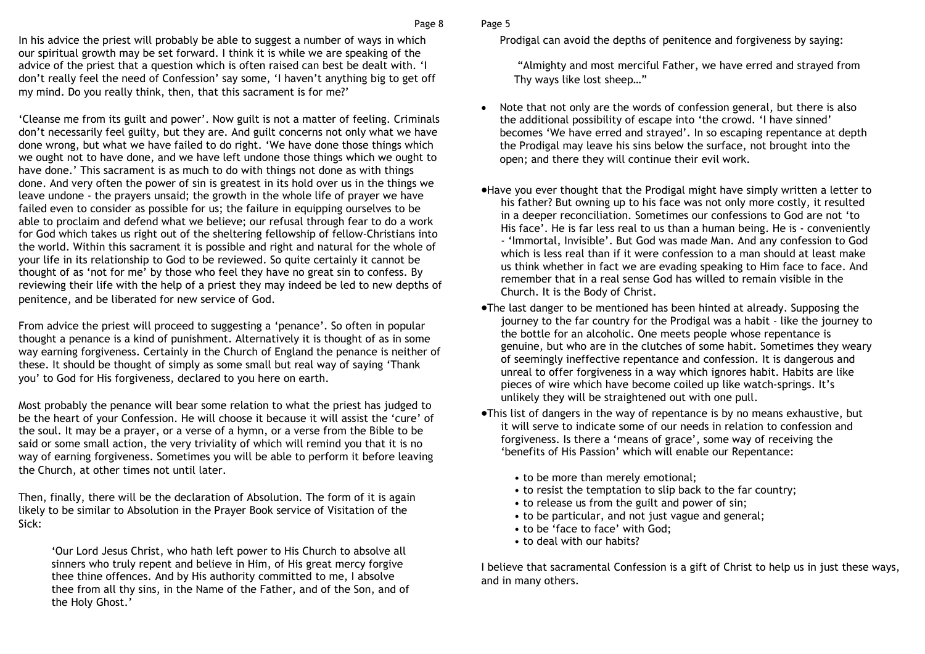In his advice the priest will probably be able to suggest a number of ways in which our spiritual growth may be set forward. I think it is while we are speaking of the advice of the priest that a question which is often raised can best be dealt with. 'I don't really feel the need of Confession' say some, 'I haven't anything big to get off my mind. Do you really think, then, that this sacrament is for me?'

'Cleanse me from its guilt and power'. Now guilt is not a matter of feeling. Criminals don't necessarily feel guilty, but they are. And guilt concerns not only what we have done wrong, but what we have failed to do right. 'We have done those things which we ought not to have done, and we have left undone those things which we ought to have done.' This sacrament is as much to do with things not done as with things done. And very often the power of sin is greatest in its hold over us in the things we leave undone - the prayers unsaid; the growth in the whole life of prayer we have failed even to consider as possible for us; the failure in equipping ourselves to be able to proclaim and defend what we believe; our refusal through fear to do a work for God which takes us right out of the sheltering fellowship of fellow-Christians into the world. Within this sacrament it is possible and right and natural for the whole of your life in its relationship to God to be reviewed. So quite certainly it cannot be thought of as 'not for me' by those who feel they have no great sin to confess. By reviewing their life with the help of a priest they may indeed be led to new depths of penitence, and be liberated for new service of God.

From advice the priest will proceed to suggesting a 'penance'. So often in popular thought a penance is a kind of punishment. Alternatively it is thought of as in some way earning forgiveness. Certainly in the Church of England the penance is neither of these. It should be thought of simply as some small but real way of saying 'Thank you' to God for His forgiveness, declared to you here on earth.

Most probably the penance will bear some relation to what the priest has judged to be the heart of your Confession. He will choose it because it will assist the 'cure' of the soul. It may be a prayer, or a verse of a hymn, or a verse from the Bible to be said or some small action, the very triviality of which will remind you that it is no way of earning forgiveness. Sometimes you will be able to perform it before leaving the Church, at other times not until later.

Then, finally, there will be the declaration of Absolution. The form of it is again likely to be similar to Absolution in the Prayer Book service of Visitation of the Sick:

'Our Lord Jesus Christ, who hath left power to His Church to absolve all sinners who truly repent and believe in Him, of His great mercy forgive thee thine offences. And by His authority committed to me, I absolve thee from all thy sins, in the Name of the Father, and of the Son, and of the Holy Ghost.'

#### Page 5

Prodigal can avoid the depths of penitence and forgiveness by saying:

 "Almighty and most merciful Father, we have erred and strayed from Thy ways like lost sheep…"

- Note that not only are the words of confession general, but there is also the additional possibility of escape into 'the crowd. 'I have sinned' becomes 'We have erred and strayed'. In so escaping repentance at depth the Prodigal may leave his sins below the surface, not brought into the open; and there they will continue their evil work.
- •Have you ever thought that the Prodigal might have simply written a letter to his father? But owning up to his face was not only more costly, it resulted in a deeper reconciliation. Sometimes our confessions to God are not 'to His face'. He is far less real to us than a human being. He is - conveniently - 'Immortal, Invisible'. But God was made Man. And any confession to God which is less real than if it were confession to a man should at least make us think whether in fact we are evading speaking to Him face to face. And remember that in a real sense God has willed to remain visible in the Church. It is the Body of Christ.
- •The last danger to be mentioned has been hinted at already. Supposing the journey to the far country for the Prodigal was a habit - like the journey to the bottle for an alcoholic. One meets people whose repentance is genuine, but who are in the clutches of some habit. Sometimes they weary of seemingly ineffective repentance and confession. It is dangerous and unreal to offer forgiveness in a way which ignores habit. Habits are like pieces of wire which have become coiled up like watch-springs. It's unlikely they will be straightened out with one pull.
- •This list of dangers in the way of repentance is by no means exhaustive, but it will serve to indicate some of our needs in relation to confession and forgiveness. Is there a 'means of grace', some way of receiving the 'benefits of His Passion' which will enable our Repentance:
	- to be more than merely emotional;
	- to resist the temptation to slip back to the far country;
	- to release us from the guilt and power of sin;
	- to be particular, and not just vague and general;
	- to be 'face to face' with God;
	- to deal with our habits?

I believe that sacramental Confession is a gift of Christ to help us in just these ways, and in many others.